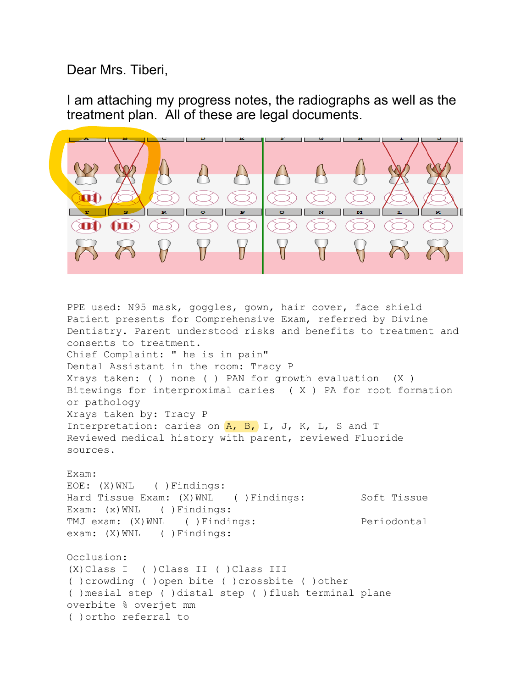Dear Mrs. Tiberi,

I am attaching my progress notes, the radiographs as well as the treatment plan. All of these are legal documents.



PPE used: N95 mask, goggles, gown, hair cover, face shield Patient presents for Comprehensive Exam, referred by Divine Dentistry. Parent understood risks and benefits to treatment and consents to treatment. Chief Complaint: " he is in pain" Dental Assistant in the room: Tracy P Xrays taken: ( ) none ( ) PAN for growth evaluation (X ) Bitewings for interproximal caries ( X ) PA for root formation or pathology Xrays taken by: Tracy P Interpretation: caries on  $A$ ,  $B$ , I, J, K, L, S and T Reviewed medical history with parent, reviewed Fluoride sources. Exam: EOE: (X)WNL ( )Findings: Hard Tissue Exam: (X) WNL ( ) Findings: Soft Tissue Exam: (x) WNL ( ) Findings: TMJ exam: (X)WNL ( )Findings: Periodontal exam: (X) WNL ( ) Findings: Occlusion: (X)Class I ( )Class II ( )Class III ( )crowding ( )open bite ( )crossbite ( )other ( )mesial step ( )distal step ( )flush terminal plane overbite % overjet mm ( )ortho referral to